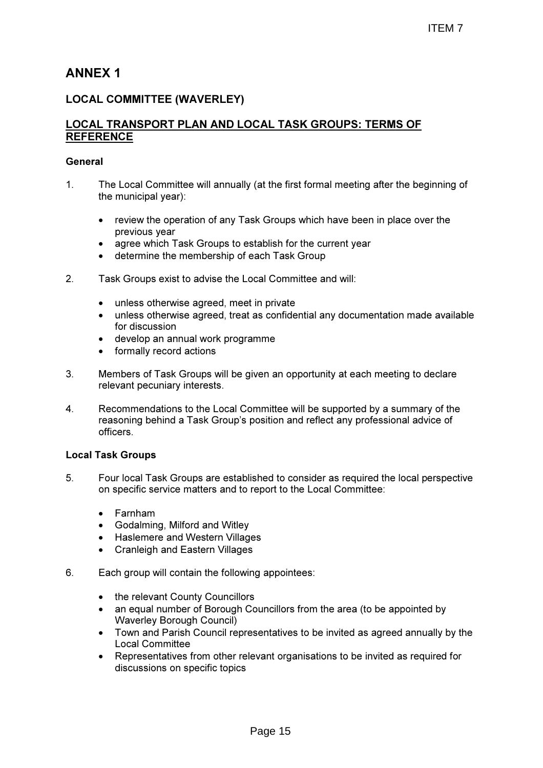# ANNEX 1

## LOCAL COMMITTEE (WAVERLEY)

### LOCAL TRANSPORT PLAN AND LOCAL TASK GROUPS: TERMS OF **REFERENCE**

#### General

- 1. The Local Committee will annually (at the first formal meeting after the beginning of the municipal year):
	- review the operation of any Task Groups which have been in place over the previous year
	- agree which Task Groups to establish for the current year
	- determine the membership of each Task Group
- 2. Task Groups exist to advise the Local Committee and will:
	- unless otherwise agreed, meet in private
	- unless otherwise agreed, treat as confidential any documentation made available for discussion
	- develop an annual work programme
	- formally record actions
- 3. Members of Task Groups will be given an opportunity at each meeting to declare relevant pecuniary interests.
- 4. Recommendations to the Local Committee will be supported by a summary of the reasoning behind a Task Group's position and reflect any professional advice of officers.

#### Local Task Groups

- 5. Four local Task Groups are established to consider as required the local perspective on specific service matters and to report to the Local Committee:
	- Farnham
	- Godalming, Milford and Witley
	- Haslemere and Western Villages
	- Cranleigh and Eastern Villages
- 6. Each group will contain the following appointees:
	- the relevant County Councillors
	- an equal number of Borough Councillors from the area (to be appointed by Waverley Borough Council)
	- Town and Parish Council representatives to be invited as agreed annually by the Local Committee
	- Representatives from other relevant organisations to be invited as required for discussions on specific topics